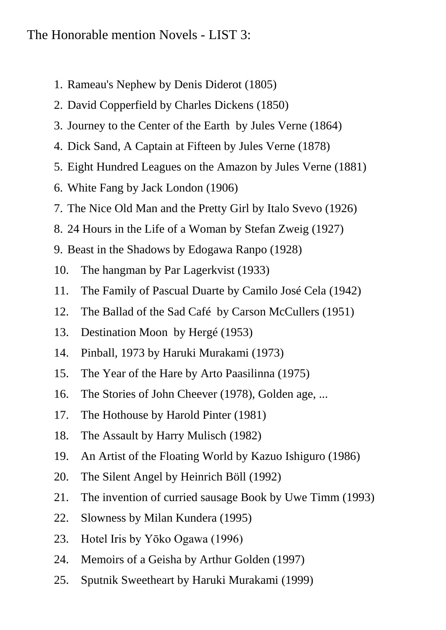## The Honorable mention Novels - LIST 3:

- 1. Rameau's Nephew by Denis Diderot (1805)
- 2. David Copperfield by Charles Dickens (1850)
- 3. Journey to the Center of the Earth by Jules Verne (1864)
- 4. Dick Sand, A Captain at Fifteen by Jules Verne (1878)
- 5. Eight Hundred Leagues on the Amazon by Jules Verne (1881)
- 6. White Fang by Jack London (1906)
- 7. The Nice Old Man and the Pretty Girl by Italo Svevo (1926)
- 8. 24 Hours in the Life of a Woman by Stefan Zweig (1927)
- 9. Beast in the Shadows by Edogawa Ranpo (1928)
- 10. The hangman by Par Lagerkvist (1933)
- 11. The Family of Pascual Duarte by Camilo José Cela (1942)
- 12. The Ballad of the Sad Café by Carson McCullers (1951)
- 13. Destination Moon by Hergé (1953)
- 14. Pinball, 1973 by Haruki Murakami (1973)
- 15. The Year of the Hare by Arto Paasilinna (1975)
- 16. The Stories of John Cheever (1978), Golden age, ...
- 17. The Hothouse by Harold Pinter (1981)
- 18. The Assault by Harry Mulisch (1982)
- 19. An Artist of the Floating World by Kazuo Ishiguro (1986)
- 20. The Silent Angel by Heinrich Böll (1992)
- 21. The invention of curried sausage Book by Uwe Timm (1993)
- 22. Slowness by Milan Kundera (1995)
- 23. Hotel Iris by Yōko Ogawa (1996)
- 24. Memoirs of a Geisha by Arthur Golden (1997)
- 25. Sputnik Sweetheart by Haruki Murakami (1999)